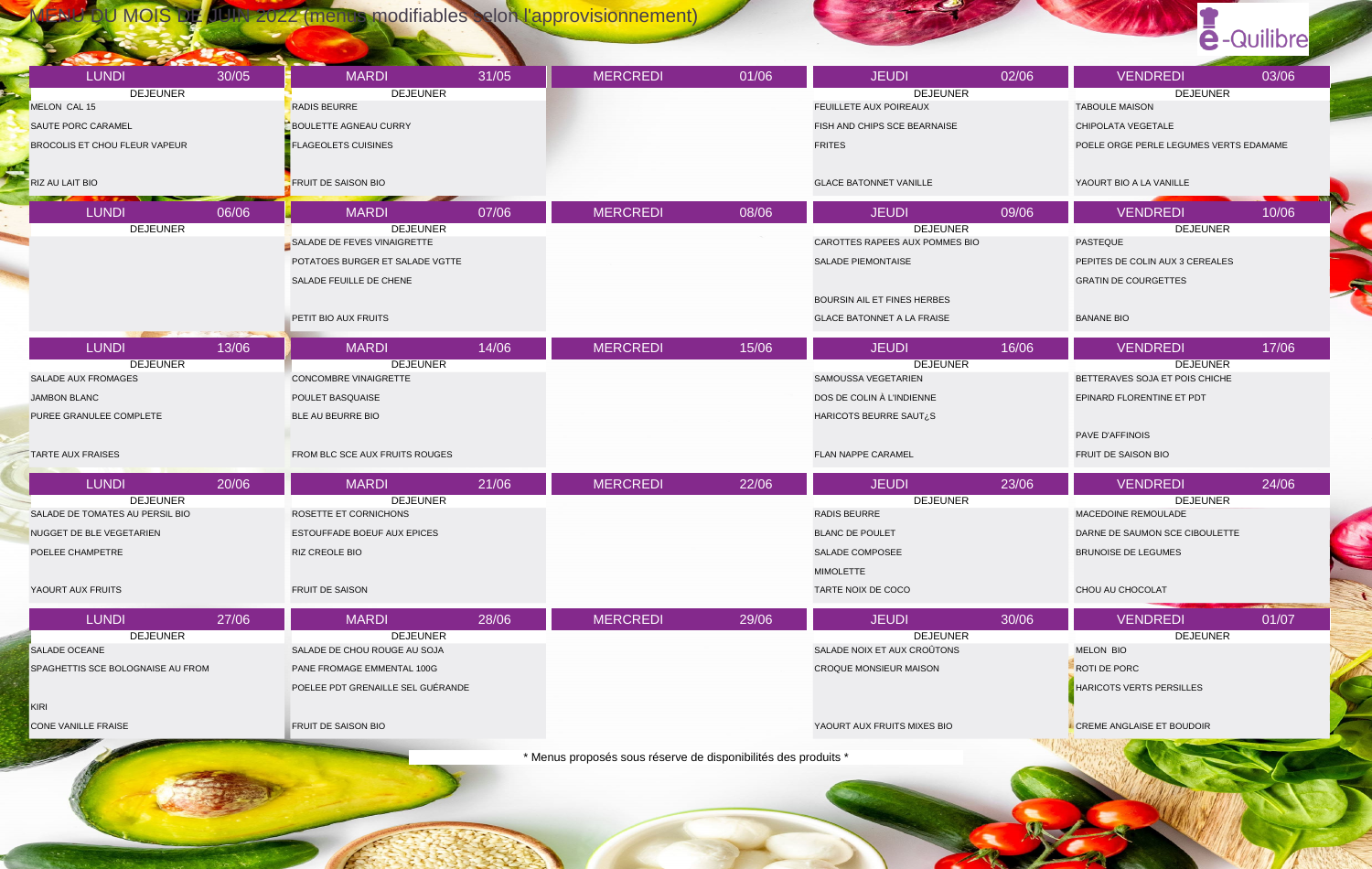MENU DU MOIS DE JUIN 2022 (menus modifiables selon l'approvisionnement)

## e-Quilibre

| <b>LUNDI</b><br>30/05             | <b>MARDI</b><br>31/05                           | <b>MERCREDI</b>                                                | 01/06 | <b>JEUDI</b>                                   | 02/06 | <b>VENDREDI</b>                        | 03/06 |
|-----------------------------------|-------------------------------------------------|----------------------------------------------------------------|-------|------------------------------------------------|-------|----------------------------------------|-------|
| <b>DEJEUNER</b>                   | <b>DEJEUNER</b>                                 |                                                                |       | <b>DEJEUNER</b>                                |       | <b>DEJEUNER</b>                        |       |
| MELON CAL 15                      | <b>RADIS BEURRE</b>                             |                                                                |       | FEUILLETE AUX POIREAUX                         |       | <b>TABOULE MAISON</b>                  |       |
| SAUTE PORC CARAMEL                | <b>BOULETTE AGNEAU CURRY</b>                    |                                                                |       | FISH AND CHIPS SCE BEARNAISE                   |       | CHIPOLATA VEGETALE                     |       |
| BROCOLIS ET CHOU FLEUR VAPEUR     | <b>FLAGEOLETS CUISINES</b>                      |                                                                |       | <b>FRITES</b>                                  |       | POELE ORGE PERLE LEGUMES VERTS EDAMAME |       |
| RIZ AU LAIT BIO<br>- 11           | <b>FRUIT DE SAISON BIO</b>                      |                                                                |       | <b>GLACE BATONNET VANILLE</b>                  |       | YAOURT BIO A LA VANILLE                |       |
| 06/06<br><b>LUNDI</b>             | <b>MARDI</b><br>07/06                           | <b>MERCREDI</b>                                                | 08/06 | <b>JEUDI</b>                                   | 09/06 | <b>VENDREDI</b>                        | 10/06 |
| <b>DEJEUNER</b>                   | <b>DEJEUNER</b>                                 |                                                                |       | <b>DEJEUNER</b>                                |       | <b>DEJEUNER</b>                        |       |
|                                   | SALADE DE FEVES VINAIGRETTE                     |                                                                |       | CAROTTES RAPEES AUX POMMES BIO                 |       | PASTEQUE                               |       |
|                                   | POTATOES BURGER ET SALADE VGTTE                 |                                                                |       | SALADE PIEMONTAISE                             |       | PEPITES DE COLIN AUX 3 CEREALES        |       |
|                                   | SALADE FEUILLE DE CHENE                         |                                                                |       |                                                |       | <b>GRATIN DE COURGETTES</b>            |       |
|                                   |                                                 |                                                                |       | BOURSIN AIL ET FINES HERBES                    |       |                                        |       |
|                                   |                                                 |                                                                |       |                                                |       |                                        |       |
|                                   | PETIT BIO AUX FRUITS                            |                                                                |       | <b>GLACE BATONNET A LA FRAISE</b>              |       | <b>BANANE BIO</b>                      |       |
| <b>LUNDI</b><br>13/06             | 14/06<br><b>MARDI</b>                           | <b>MERCREDI</b>                                                | 15/06 | <b>JEUDI</b>                                   | 16/06 | <b>VENDREDI</b>                        | 17/06 |
| <b>DEJEUNER</b>                   | <b>DEJEUNER</b>                                 |                                                                |       | <b>DEJEUNER</b>                                |       | <b>DEJEUNER</b>                        |       |
| SALADE AUX FROMAGES               | CONCOMBRE VINAIGRETTE                           |                                                                |       | SAMOUSSA VEGETARIEN                            |       | BETTERAVES SOJA ET POIS CHICHE         |       |
| <b>JAMBON BLANC</b>               | POULET BASQUAISE                                |                                                                |       | DOS DE COLIN À L'INDIENNE                      |       | EPINARD FLORENTINE ET PDT              |       |
| PUREE GRANULEE COMPLETE           | BLE AU BEURRE BIO                               |                                                                |       | HARICOTS BEURRE SAUT¿S                         |       |                                        |       |
|                                   |                                                 |                                                                |       |                                                |       | PAVE D'AFFINOIS                        |       |
| <b>TARTE AUX FRAISES</b>          | FROM BLC SCE AUX FRUITS ROUGES                  |                                                                |       | <b>FLAN NAPPE CARAMEL</b>                      |       | FRUIT DE SAISON BIO                    |       |
|                                   |                                                 |                                                                |       |                                                |       |                                        |       |
| <b>LUNDI</b><br>20/06             | <b>MARDI</b><br>21/06                           | <b>MERCREDI</b>                                                | 22/06 | <b>JEUDI</b>                                   | 23/06 | <b>VENDREDI</b>                        | 24/06 |
| <b>DEJEUNER</b>                   | <b>DEJEUNER</b>                                 |                                                                |       | <b>DEJEUNER</b>                                |       | <b>DEJEUNER</b>                        |       |
| SALADE DE TOMATES AU PERSIL BIO   | ROSETTE ET CORNICHONS                           |                                                                |       | RADIS BEURRE                                   |       | MACEDOINE REMOULADE                    |       |
| NUGGET DE BLE VEGETARIEN          | ESTOUFFADE BOEUF AUX EPICES                     |                                                                |       | <b>BLANC DE POULET</b>                         |       | DARNE DE SAUMON SCE CIBOULETTE         |       |
| POELEE CHAMPETRE                  | RIZ CREOLE BIO                                  |                                                                |       | SALADE COMPOSEE                                |       | <b>BRUNOISE DE LEGUMES</b>             |       |
|                                   |                                                 |                                                                |       | <b>MIMOLETTE</b>                               |       |                                        |       |
| YAOURT AUX FRUITS                 | FRUIT DE SAISON                                 |                                                                |       | TARTE NOIX DE COCO                             |       | CHOU AU CHOCOLAT                       |       |
|                                   |                                                 |                                                                |       |                                                |       |                                        |       |
| <b>LUNDI</b><br>27/06             | 28/06<br><b>MARDI</b>                           | <b>MERCREDI</b>                                                | 29/06 | <b>JEUDI</b>                                   | 30/06 | <b>VENDREDI</b>                        | 01/07 |
| <b>DEJEUNER</b><br>SALADE OCEANE  | <b>DEJEUNER</b><br>SALADE DE CHOU ROUGE AU SOJA |                                                                |       | <b>DEJEUNER</b><br>SALADE NOIX ET AUX CROÛTONS |       | <b>DEJEUNER</b><br><b>MELON BIO</b>    |       |
| SPAGHETTIS SCE BOLOGNAISE AU FROM | PANE FROMAGE EMMENTAL 100G                      |                                                                |       | CROQUE MONSIEUR MAISON                         |       | ROTI DE PORC                           |       |
|                                   |                                                 |                                                                |       |                                                |       |                                        |       |
|                                   | POELEE PDT GRENAILLE SEL GUÉRANDE               |                                                                |       |                                                |       | HARICOTS VERTS PERSILLES               |       |
| KIRI                              |                                                 |                                                                |       |                                                |       |                                        |       |
| CONE VANILLE FRAISE               | FRUIT DE SAISON BIO                             |                                                                |       | YAOURT AUX FRUITS MIXES BIO                    |       | <b>CREME ANGLAISE ET BOUDOIR</b>       |       |
|                                   |                                                 | * Menus proposés sous réserve de disponibilités des produits * |       |                                                |       |                                        |       |